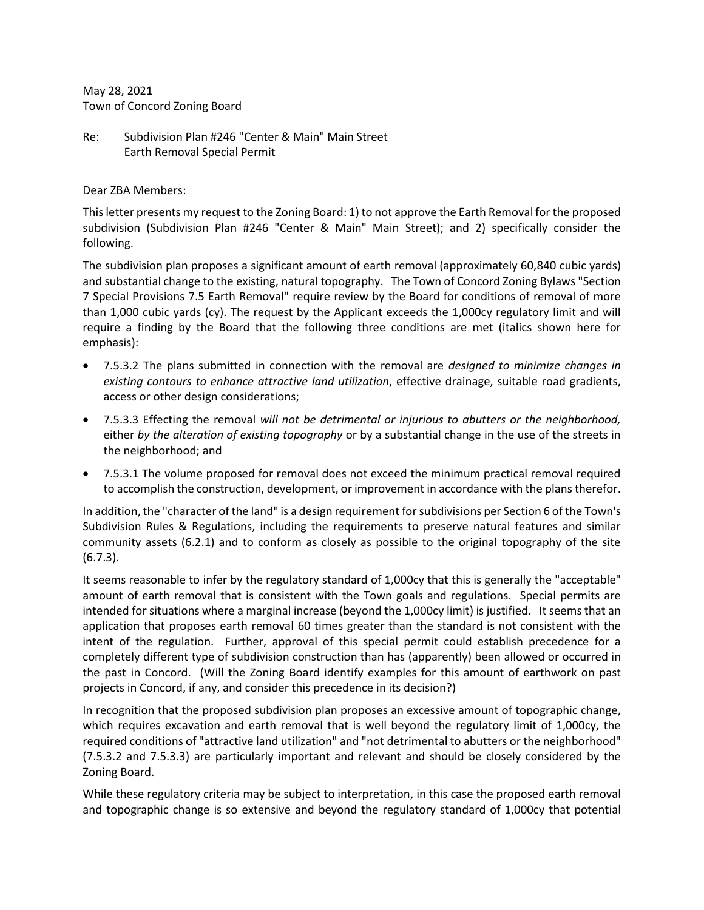May 28, 2021 Town of Concord Zoning Board

Re: Subdivision Plan #246 "Center & Main" Main Street Earth Removal Special Permit

Dear ZBA Members:

This letter presents my request to the Zoning Board: 1) to not approve the Earth Removal for the proposed subdivision (Subdivision Plan #246 "Center & Main" Main Street); and 2) specifically consider the following.

The subdivision plan proposes a significant amount of earth removal (approximately 60,840 cubic yards) and substantial change to the existing, natural topography. The Town of Concord Zoning Bylaws "Section 7 Special Provisions 7.5 Earth Removal" require review by the Board for conditions of removal of more than 1,000 cubic yards (cy). The request by the Applicant exceeds the 1,000cy regulatory limit and will require a finding by the Board that the following three conditions are met (italics shown here for emphasis):

- 7.5.3.2 The plans submitted in connection with the removal are *designed to minimize changes in existing contours to enhance attractive land utilization*, effective drainage, suitable road gradients, access or other design considerations;
- 7.5.3.3 Effecting the removal *will not be detrimental or injurious to abutters or the neighborhood,*  either *by the alteration of existing topography* or by a substantial change in the use of the streets in the neighborhood; and
- 7.5.3.1 The volume proposed for removal does not exceed the minimum practical removal required to accomplish the construction, development, or improvement in accordance with the plans therefor.

In addition, the "character of the land" is a design requirement for subdivisions per Section 6 of the Town's Subdivision Rules & Regulations, including the requirements to preserve natural features and similar community assets (6.2.1) and to conform as closely as possible to the original topography of the site (6.7.3).

It seems reasonable to infer by the regulatory standard of 1,000cy that this is generally the "acceptable" amount of earth removal that is consistent with the Town goals and regulations. Special permits are intended for situations where a marginal increase (beyond the 1,000cy limit) is justified. It seems that an application that proposes earth removal 60 times greater than the standard is not consistent with the intent of the regulation. Further, approval of this special permit could establish precedence for a completely different type of subdivision construction than has (apparently) been allowed or occurred in the past in Concord. (Will the Zoning Board identify examples for this amount of earthwork on past projects in Concord, if any, and consider this precedence in its decision?)

In recognition that the proposed subdivision plan proposes an excessive amount of topographic change, which requires excavation and earth removal that is well beyond the regulatory limit of 1,000cy, the required conditions of "attractive land utilization" and "not detrimental to abutters or the neighborhood" (7.5.3.2 and 7.5.3.3) are particularly important and relevant and should be closely considered by the Zoning Board.

While these regulatory criteria may be subject to interpretation, in this case the proposed earth removal and topographic change is so extensive and beyond the regulatory standard of 1,000cy that potential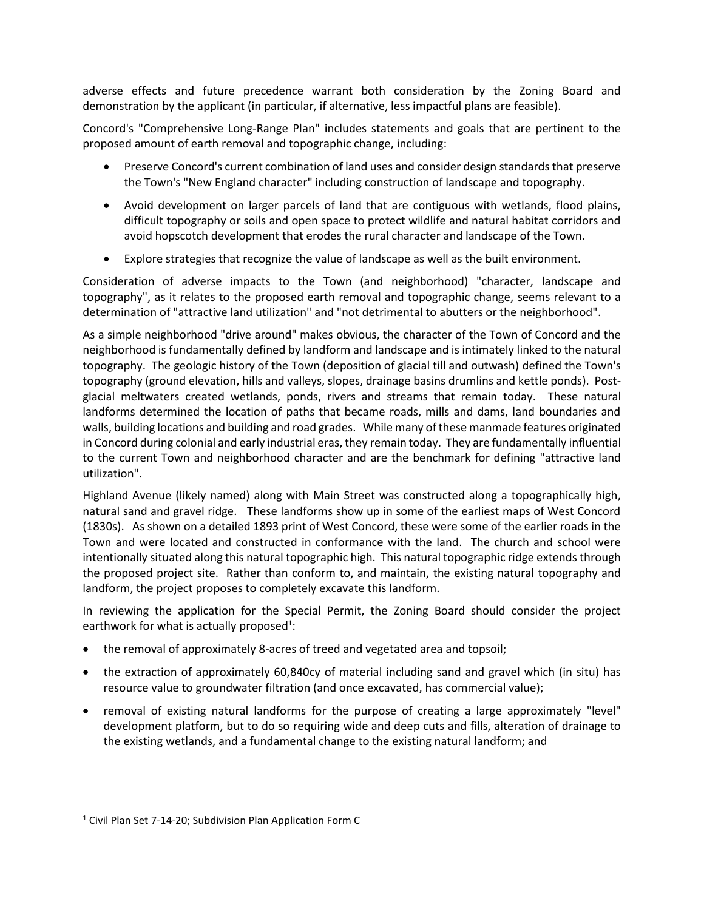adverse effects and future precedence warrant both consideration by the Zoning Board and demonstration by the applicant (in particular, if alternative, less impactful plans are feasible).

Concord's "Comprehensive Long-Range Plan" includes statements and goals that are pertinent to the proposed amount of earth removal and topographic change, including:

- Preserve Concord's current combination of land uses and consider design standards that preserve the Town's "New England character" including construction of landscape and topography.
- Avoid development on larger parcels of land that are contiguous with wetlands, flood plains, difficult topography or soils and open space to protect wildlife and natural habitat corridors and avoid hopscotch development that erodes the rural character and landscape of the Town.
- Explore strategies that recognize the value of landscape as well as the built environment.

Consideration of adverse impacts to the Town (and neighborhood) "character, landscape and topography", as it relates to the proposed earth removal and topographic change, seems relevant to a determination of "attractive land utilization" and "not detrimental to abutters or the neighborhood".

As a simple neighborhood "drive around" makes obvious, the character of the Town of Concord and the neighborhood is fundamentally defined by landform and landscape and is intimately linked to the natural topography. The geologic history of the Town (deposition of glacial till and outwash) defined the Town's topography (ground elevation, hills and valleys, slopes, drainage basins drumlins and kettle ponds). Postglacial meltwaters created wetlands, ponds, rivers and streams that remain today. These natural landforms determined the location of paths that became roads, mills and dams, land boundaries and walls, building locations and building and road grades. While many of these manmade features originated in Concord during colonial and early industrial eras, they remain today. They are fundamentally influential to the current Town and neighborhood character and are the benchmark for defining "attractive land utilization".

Highland Avenue (likely named) along with Main Street was constructed along a topographically high, natural sand and gravel ridge. These landforms show up in some of the earliest maps of West Concord (1830s). As shown on a detailed 1893 print of West Concord, these were some of the earlier roads in the Town and were located and constructed in conformance with the land. The church and school were intentionally situated along this natural topographic high. This natural topographic ridge extends through the proposed project site. Rather than conform to, and maintain, the existing natural topography and landform, the project proposes to completely excavate this landform.

In reviewing the application for the Special Permit, the Zoning Board should consider the project earthwork for what is actually proposed<sup>1</sup>:

- the removal of approximately 8-acres of treed and vegetated area and topsoil;
- the extraction of approximately 60,840cy of material including sand and gravel which (in situ) has resource value to groundwater filtration (and once excavated, has commercial value);
- removal of existing natural landforms for the purpose of creating a large approximately "level" development platform, but to do so requiring wide and deep cuts and fills, alteration of drainage to the existing wetlands, and a fundamental change to the existing natural landform; and

<sup>&</sup>lt;sup>1</sup> Civil Plan Set 7-14-20; Subdivision Plan Application Form C